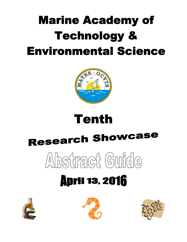# **Marine Academy of Technology & Environmental Science**



# **Tenth**

# **Research Showcase**

# $\Delta\log\left( \log\left( \log\left( \frac{1}{2} \right) \right) \right)$

# **April 13, 2016**





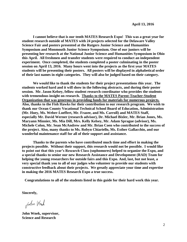**I cannot believe that is our tenth MATES Research Expo! This was a great year for student research outside of MATES with 24 projects selected for the Delaware Valley Science Fair and posters presented at the Rutgers Junior Science and Humanities Symposium and Monmouth Junior Science Symposium. One of our juniors will be presenting her research at the National Junior Science and Humanities Symposium in Ohio this April. All freshmen and transfer students were required to conduct an independent experiment. Once completed, the students completed a poster culminating in the poster session on April 13, 2016. Many hours went into the projects as the first year MATES students will be presenting their posters. All posters will be displayed in alphabetical order of their last names in eight categories. They will also be judged based on their category.** 

**We would like to thank the students for their project presentations this year. The students worked hard and it will show in the following abstracts, and during their poster session. Mr. Jason Kelsey, fellow student research coordinator who provides the students with tremendous insight on research. Thanks to the MATES Parent-Teacher-Student Organization that was generous in providing funds for materials for numerous projects. Also, thanks to the Fish Hawks for their contribution to our research program. We wish to thank our Ocean County Vocational Technical School Board of Education, Administration (Mr. Hoey, Ms. Weber-Loeffert, Mr. Frazee, and Ms. Carroll) and MATES Staff, especially Mr. David Werner (research advisor), Dr. Michael Bixler, Mr. Brian Jones, Ms. Maryann Minnier, Ms. Mia Dill, Mrs. Kelly Kelsey, Mr. Adam Sprague (advisor), Ms. Michele Colon, Mr. Sean McAndrew and Mr. Brian Coen who contributed to the success of the project. Also, many thanks to Ms. Robyn Chiariello, Ms. Esther Gallacchio, and our wonderful maintenance staff for all of their support and assistance.** 

**Thanks to the parents who have contributed much time and effort in making the projects possible. Without their support, this research would not be possible. I would like to point out that this year's Research Class (sophomores) helped to organize the Expo, and a special thanks to senior our new Research Assistance and Development (RAD) Team for helping the young researchers for outside fairs and this Expo. And, last, but not least, a very special thank you to all of our judges who volunteer to provide our students with constructive feedback about their projects. We greatly appreciate your time and expertise in making the 2016 MATES Research Expo a true success.** 

 **Congratulations to all of the students listed in this guide for their hard work this year.**

**Sincerely,**

John Work

**John Wnek, supervisor, Science and Research**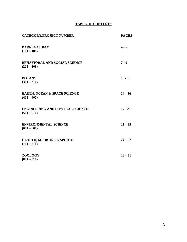# **TABLE OF CONTENTS**

| <b>CATEGORY/PROJECT NUMBER</b>                           | <b>PAGES</b> |
|----------------------------------------------------------|--------------|
| <b>BARNEGAT BAY</b><br>$(101 - 108)$                     | $4 - 6$      |
| <b>BEHAVIORAL AND SOCIAL SCIENCE</b><br>$(201 - 209)$    | $7 - 9$      |
| <b>BOTANY</b><br>$(301 - 310)$                           | $10 - 13$    |
| <b>EARTH, OCEAN &amp; SPACE SCIENCE</b><br>$(401 - 407)$ | $14 - 16$    |
| <b>ENGINEERING AND PHYSICAL SCIENCE</b><br>$(501 - 510)$ | $17 - 20$    |
| <b>ENVIRONMENTAL SCIENCE</b><br>$(601 - 608)$            | $21 - 23$    |
| <b>HEALTH, MEDICINE &amp; SPORTS</b><br>$(701 - 711)$    | $24 - 27$    |
| <b>ZOOLOGY</b><br>$(801 - 810)$                          | $28 - 31$    |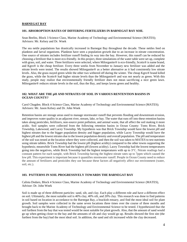#### **BARNEGAT BAY**

#### **101. ABSOROPTION RATES OF DIFFERING FERTILIZERS IN BARNEGAT BAY SOIL**

Sean Beelitz, Block 3 Science Class, Marine Academy of Technology and Environmental Science (MATES); Advisors: Mr. Kelsey and Dr. Wnek

The sea nettle populations has drastically increased in Barnegat Bay throughout the decade. These nettles feed on plankton and larval organisms. Plankton have seen a population growth due to an increase in nitrate concentration. One source of nitrates includes fertilizer runoff finding its way into the bay. However, this runoff can be reduced by choosing a fertilizer that is more eco-friendly. In this project, three simulations of the water table were set up, complete with grass, soil, and water. Three fertilizers were selected, where Milorganite® is eco-friendly, Scotts® is name brand, and Kgro® is the cheap fertilizer. Every three weeks from November to January new fertilizer was added and the nitrate levels were tested. The results showed Milorganite® as a better alternative as it had consistently low nitrate levels. Also, the grass stayed green while the other two withered off during the winter. The cheap Kgro® brand killed the grass, while the Scotts® had higher nitrate levels than the Milorganite® and was not nearly as green. With this study, people may realize that environmentally friendly fertilizer does not mean sacrificing a nice green lawn. Milorganite® reduces nitrate levels in the soil, thus the Bay, and keeps lawns green and healthy.

# **102. WHAT ARE THE pH AND NITRATES OF SOIL IN VARIOUS RENTENTION BASINS IN OCEAN COUNTY?**

Carol Chugden. Block 4 Science Class, Marine Academy of Technology and Environmental Science (MATES); Advisors: Mr. Jason Kelsey and Dr. John Wnek

Retention basins are storage areas used to manage stormwater runoff that prevents flooding and downstream erosion, and improves water quality in an adjacent river, stream, lake, or bay. The water that runs off into these retention basins takes along pesticides, fertilizers, non-source point pollution, and animal waste, that all affect the soil making it more acidic. Soil samples were collected from the following retention basins in Ocean County: Toms River, Brick Township, Lakewood, and Lacey Township. My hypothesis was that Brick Township would have the lowest pH and highest nitrates due to the bigger population density and bigger population, while Lacey Township would have the highest pH and the lowest nitrates due to the lowest population density and overall population. The pH and temperature of the soil was tested at the location where they were collected, and then the soil was taken to MATES to test nutrients using nitrate tablets. Brick Township had the lowest pH (highest acidity) compared to the other towns supporting the hypothesis; meanwhile Toms River had the highest pH (lowest acidity). Lacey Township had the lowest temperatures going into the negatives, while Brick Township had the highest temperatures with up to  $3^{\circ}$ C. Nitrate readings had a constant pattern for each sample, with Brick Township having the highest nitrate rates up to 7ppm which caused the low pH. This experiment is important because it quantifies stormwater runoff. People in Ocean County need to reduce the amount of fertilizers and pesticides they use because these factors all negatively affect our environment (water, soil, etc.).

# **103. PATTERNS IN SOIL PROGRESSIVELY TOWARDS THE BARNEGAT BAY**

Calista Dodaro, Block 4 Science Class, Marine Academy of Technology and Environmental Science (MATES), Advisor: Dr. John Wnek

Soil is made up of three different particles: sand, silt, and clay. Each play a different role and have a different effect on soil. Ultimately, the most suitable soil is 40% clay, 40% silt, and 20% clay. This research was done to find patterns in soil based on location in accordance to the Barnegat Bay, a brackish estuary, and find the most ideal soil for plant growth. Soil samples were collected in the same seven locations three times over the course of three months and brought back to the Marine Academy of Technology and Environmental Science to be tested. I hypothesized that the soil furthest from the bay that was tested would be most suitable for plant growth. Also, that the amount of sand would go up when getting closer to the bay and the amounts of silt and clay would go up. Results showed the first site (the furthest from the bay) had the most ideal soil. In addition, the sand and silt increased while the clay decreased.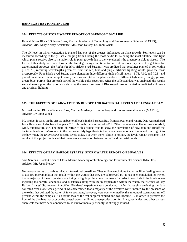# **BARNEGAT BAY (CONTINUED):**

## **104. EFFECTS OF STORMWATER RUNOFF ON BARNEGAT BAY LIFE**

Hannah Nivar Block 3 Science Class, Marine Academy of Technology and Environmental Science (MATES), Advisor: Mrs. Kelly Kelsey Assistance: Mr. Jason Kelsey, Dr. John Wnek

The pH level in which vegetation is planted has one of the greatest influences on plant growth. Soil levels can be measured according to the pH scale ranging from 1 being the most acidic to 14 being the most alkaline. The light which plants receive also has a major role in plant growth due to the wavelengths the greenery is able to absorb. The focus of this study was to determine the finest growing conditions to cultivate a model species of vegetation for experimental purposes; the *Rudbeckia hirta* (Black-eyed Susan). It was predicted that seedlings planted in soil with a pH of 7.0, receiving wavelengths given off from the red, blue and purple artificial lighting would grow the most prosperously. Four Black-eyed Susans were planted in three different kinds of soil levels – 6.75, 7.00, and 7.25– and placed under an artificial lamp. Overall, there was a total of 12 plants under six different lights–red, orange, yellow, green, blue, purple–that are each part of the visible color spectrum. After the collected data was analyzed, the results were able to support the hypothesis, showing the growth success of Black-eyed Susans planted in predicted soil levels and artificial lighting.

#### **105. THE EFFECTS OF RAINWATER ON RUNOFF AND BACTERIAL LEVELS AT BARNEGAT BAY**

Michael Puciul, Block 4 Science Class, Marine Academy of Technology and Environmental Science (MATES); Advisor: Dr. John Wnek

My project focuses on the effects on bacterial levels in the Barnegat Bay from rainwater and runoff. Data was gathered from Henderson Labs from the years 2013 through the summer of 2015. Other parameters collected were rainfall, wind, temperature, etc. The main objective of this project was to show the correlation of how rain and runoff the bacterial levels of *Enterococci* in the bay water. My hypothesis is that when large amounts of rain and runoff go into the bay water, the *Enterococci* bacteria levels spike. But when there is little to no rain, the levels remain the same. The results of this project indicated that there was a correlation between runoff and bacterial levels.

#### **106. EFFECTS OF BAY HARBOR ESTATES' STORMWATER RUNOFF ON BIVALVES**

Sara Sarcona, Block 4 Science Class, Marine Academy of Technology and Environmental Science (MATES), Advisor: Mr. Jason Kelsey

Numerous species of bivalves inhabit international coastlines. They utilize a technique known as filter feeding in order to acquire microplankton that reside within the waters that they are submerged in. It has been concluded, however, that a majority of these organisms are living in highly polluted environments. In order to conclude if the bivalves are ingesting the harmful chemicals and substances along with the microplankton within the water, the "Effects of Bay Harbor Estates' Stormwater Runoff on Bivalves" experiment was conducted. After thoroughly analyzing the data collected over a one week period, it was determined that a majority of the bivalves were unfazed by the presence of the toxins that polluted the water. A few specimens, however, were overwhelmed by the amount of stormwater runoff present within the samples. As a result, two of the test subjects expired and two became ill. In order to preserve the lives of the bivalves that occupy the coastal waters, utilizing green products, or fertilizers, pesticides, and other various chemicals that have been announced to be environmentally friendly, is strongly advised.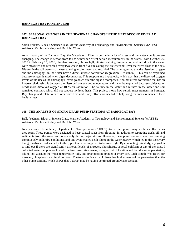## **BARNEGAT BAY (CONTINUED):**

## **107. SEASONAL CHANGES IN THE SEASONAL CHANGES IN THE METEDECONK RIVER AT BARNEGAT BAY**

Sarah Valente, Block 4 Science Class, Marine Academy of Technology and Environmental Science (MATES); Advisors: Mr. Jason Kelsey and Dr. John Wnek

As a tributary of the Barnegat Bay, the Metedeconk River is put under a lot of stress and the water conditions are changing. The change in season from fall to winter can affect certain measurements in the water. From October 26, 2015 to February 15, 2016, dissolved oxygen, chlorophyll, nitrates, salinity, temperature, and turbidity in the water were measured and recorded every two weeks from five sites along the Metedeconk River that were close to the bay. Nitrates in the soil were also measured using a colorimeter and recorded. The data suggested that the dissolved oxygen and the chlorophyll in the water have a direct, inverse correlation (regression,  $P = 0.0292$ ). This can be explained because oxygen is used when algae decomposes. This supports my hypothesis, which was that the dissolved oxygen levels would rise as the chlorophyll levels go down after the algae decomposes. Another direct correlation that has an inverse relationship is between the dissolved oxygen and temperature, and it can be explained because colder water needs more dissolved oxygen at 100% air saturation. The salinity in the water and nitrates in the water and soil remained constant, which did not support my hypothesis. This project shows how certain measurements in Barnegat Bay change and relate to each other overtime and if any efforts are needed to help bring the measurements to their healthy rates.

#### **108. THE ANALYSIS OF STORM DRAIN PUMP STATIONS AT BARNEGAT BAY**

Bella Yedman, Block 1 Science Class, Marine Academy of Technology and Environmental Science (MATES); Advisors: Mr. Jason Kelsey and Dr. John Wnek

Newly installed New Jersey Department of Transportation (NJDOT) storm drain pumps may not be as effective as they seem. These pumps were designed to keep coastal roads from flooding, in addition to separating trash, oil, and sediments from the water and to run only during major storms. However, these pump stations have been running continuously under dry conditions, and one even created a silt plume in the water nearby, which led to the discovery that groundwater had seeped into the pipes that were supposed to be watertight. By conducting this study, my goal is to find out if there are significantly different levels of nitrogen, phosphorus, or fecal coliform at any of the sites. I collected water samples each week for ten consecutive weeks, using a control location and two distances per station, taking into account the water temperature, tide, and precipitation amount at every site. Each sample was tested for nitrogen, phosphorus, and fecal coliform. The trends indicate that L Street has higher levels of the parameters than the other pump stations, which shows that L Street may be having continued groundwater seepage.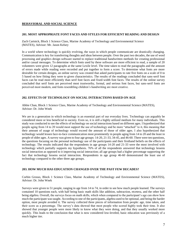# **BEHAVIORAL AND SOCIAL SCIENCE**

#### **201. MOST APPROPRIATE FONT FACES AND STYLES FOR EFFICIENT READING AND DESIGN**

Zach Cartnick, Block 1 Science Class, Marine Academy of Technology and Environmental Science (MATES), Advisor: Mr. Jason Kelsey

In a world where technology is quickly evolving, the ways in which people communicate are drastically changing. Communication is key for transferring thoughts and ideas between people. Over the past two decades, the use of word processing and graphics design software started to replace traditional handwritten methods for creating professional and/or casual messages. To determine which fonts used by these software are more efficient to read, a sample of 20 volunteers were given 12 paragraphs at the same Lexile level. The time taken to read the paragraphs and the amount of errors made while reading were recorded and put together to form a score. To determine what fonts are more desirable for certain designs, an online survey was created that asked participants to rate five fonts on a scale of 0 to 5 based on how fitting they were to given characteristics. The results of the readings concluded that sans-serif font faces can be read more efficiently than serif font faces and fixed-width font faces. The results of the online survey concluded that serif fonts are perceived most trustworthy, formal, and serious font faces, but sans-serif fonts are perceived most modern, and fonts resembling children's handwriting are most creative.

# **202. EFFECTS OF TECHNOLOGY ON SOCIAL INTERACTIONS BASED ON AGE**

Abbie Chan, Block 1 Science Class, Marine Academy of Technology and Environmental Science (MATES), Advisor: Dr. John Wnek

We are in a generation in which technology is an essential part of our everyday lives. Technology can arguably be considered more or less beneficial to society. Even so, it is still a highly utilized medium for many individuals. This study was conducted to see the effects of technology on social interactions based on different ages. I hypothesized that people aging from 14 to 20 would most support the use of technology and be more "attached" to it, this meaning that their amount of usage of technology would exceed the amount of those of older ages. I also hypothesized that technology would lessen face-to-face communication most prominently in people aging from 14 to 20 and the least in people of older ages. A survey was given to four age groups: 14-20, 21-33, 34-45, and 46-60. There were ten questions, the questions focusing on the personal technology use of the participants and their firsthand beliefs on the effects of technology. The results indicated that the respondents in age groups 14-20 and 21-33 were the most involved with technology which partially supports my hypothesis. 76% of all the respondents answered that technology lessens social interaction as opposed to it improving social interaction; all age groups had a higher percentage supporting the fact that technology lessens social interaction. Respondents in age group 46-60 demonstrated the least use of technology compared to the other three age groups.

# **203. HOW MUCH HAS EDUCATION CHANGED OVER THE PAST FEW DECADES?**

Corbin Grosso, Block 1 Science Class, Marine Academy of Technology and Environmental Science (MATES), Advisor: Dr. John Wnek

Surveys were given to 51 people, ranging in age from 14 to 74, in order to see how much people learned. The surveys contained 10 questions each, with half being basic math skills like addition, subtraction, etcetera, and the other half being algebra. Overall, the surveys focus on math skills, which when compared to the participant's age can show how much the participant was taught. According to one of the participants, algebra used to be optional, and being the harder option, most people avoided it. The survey collected three pieces of information from people: age, time taken, and their score as a percentage. The survey's data showed that most people who scored highly took their time. It also showed that younger people were more likely to know what they were doing, and that they usually worked more quickly. This leads to the conclusion that what is now considered low-leveled, basic education was previously of a much higher tier.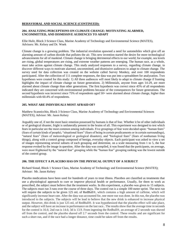#### **BEHAVIORAL AND SOCIAL SCIENCE (CONTINUED):**

#### **204. ANALYZING PERCEPTIONS ON CLIMATE CHANGE: MOTIVATING ALARMED, UNCOMMITTED, AND DISMISSIVE AUDIENCES TO ADAPT**

Ellie Hulit, Block 3 Science Class, Marine Academy of Technology and Environmental Science (MATES), Advisors: Mr. Kelsey and Dr. Wnek

Climate change is a growing problem. The industrial revolution spawned a need for automobiles which give off an alarming amount of carbon dioxide that pollutes the air. This new invention started the desire for more technological advancements for all of mankind. Climate change is bringing detrimental effects to our world; for example, sea levels are rising, global temperatures are rising, and extreme weather patterns are emerging. The human race, as a whole, must take action against climate change. This study analyzed responses to a survey, regarding climate change, to discover different ways to motivate alarmed, uncommitted, and dismissive audiences to adapt to climate change. The survey used for data collection was created on the website called Survey Monkey, and over 100 respondents participated. After the collection of 111 complete responses, the data was put into a spreadsheet for analyzation. Two hypotheses were created for this study: 1) All three audiences will most likely to adapt to climate change if framing highlights the impact of climate change on future generations. 2) Millennials, anyone from ages 14-29, are more alarmed about climate change than other generations. The first hypothesis was correct since 45% of all respondents indicated they are concerned with environmental problems because of the consequences for future generations. The second hypothesis was incorrect since 75% of respondents aged 50+ were alarmed about climate change, higher than millennials with 60.4% of respondents.

#### **205. WHAT ARE INDIVIDUALS MOST AFRAID OF?**

Matthew Scannicchio, Block 3 Science Class, Marine Academy of Technology and Environmental Sciences (MATES); Advisor: Mr. Jason Kelsey

Arguably one of, if not the most basic emotion possessed by humans is that of fear. Whether it be of other individuals or of geological disaster, fright is unilaterally present in the brains of all. This experiment was designed to test which fears in particular are the most common among individuals. Five groupings of fear were decided upon: "human fears" (fears of certain kinds of people), "situational fears" (fears of being in certain predicaments or in certain surroundings), "natural fears" (fears of meteorological or geological disasters), and "biological fears" (fears of nonhuman living things), along with a control group composed of benign, everyday objects. Each participant was asked to view a set of images representing several subsets of each grouping and determine, on a scale measuring from 1 to 5, the fear response evoked by the image in question. After the data was compiled, it was found that the participants, on average, were most frightened by the "natural fear" grouping while the "human fear" grouping ranking was the lowest outside of the control group.

# **206. THE EFFECT A PLACEBO HAS ON THE PHYSICAL OUTPUT OF A SUBJECT**

Richard Sistad, Block 1 Science Class, Marine Academy of Technology and Environmental Science (MATES); Advisor: Mr. Jason Kelsey

Placebo medications have been used for hundreds of years to treat illness. Placebos are classified as treatments that use a physiological approach to cure or improve physical health or performance. Usually, for them to work as prescribed, the subject must believe that the treatment works. In this experiment, a placebo was given to 15 subjects. The subjects must run 3 runs over the course of three days. The control run is a simple 100 meter sprint. The next run will require the subjects to be given 125 mL of RedBull®, which contains a high amount of caffeine, which will significantly increase heart rate. After the data was accounted for, one more run was done. In this run, the placebo was introduced to the subjects. The subjects will be lead to believe that the new drink is enhanced to increase physical output. However, this drink is just 125 mL of RedBull®. It was hypothesized that the placebo effect will take place, and the subject will have an increase in performance on the last race.. The results show that the average time in seconds for the control is 16.6; 2nd run is 14.6; 3d is 13.9. From ingesting the Redbull®, an average of 2 seconds was shaved off from the control, and the placebo shaved off 2.7 seconds from the control. These results and are significant for such a short run, and if the race had a longer distance, time could be taken off from the results.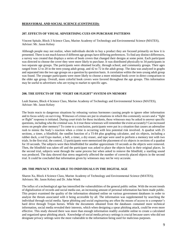# **BEHAVIORAL AND SOCIAL SCIENCE (CONTINUED):**

# **207. EFFECTS OF VISUAL ADVERTISING CUES ON PURCHASE PATTERNS**

Vincent Spitale, Block 3 Science Class, Marine Academy of Technology and Environmental Science (MATES), Advisor: Mr. Jason Kelsey

Although people may not realize, when individuals decide to buy a product they are focused primarily on how it is presented. There is not much known if different age groups have differing preferences. To find any distinct differences, a survey was created that displays a series of book covers that changed their designs at some point. Each participant was directed to choose the cover they were more likely to purchase. It was distributed physically to 34 participants in two separate age groups. The participants were obtained locally, through school, and community groups. Their ages ranged from 12 to 20 in the teen-young adult group, and 42 to 72 in the adult group. The data was analyzed in graphs and separated into the two age groups on a question by question basis. A correlation within the teen-young adult group was found. The younger participants were more likely to choose a more minimal book cover in direct comparison to the older age group. Overall, more colorful book covers were favored throughout the age groups. This information may be useful to advertisers who are trying to market to specific ages.

#### **208. THE EFFECTS OF THE "FIGHT OR FLIGHT" SYSTEM ON MEMORY**

Leah Starnes, Block 4 Science Class, Marine Academy of Technology and Environmental Science (MATES), Advisor: Mr. Jason Kelsey

The brain reacts to dangerous situations by releasing various hormones causing people to ignore other information and to focus solely on surviving. Witnesses of crimes are put in situations in which this commonly occurs and a "fight or flight" response is initiated. During court trials for these incidents, these witnesses may be asked to answer specific questions, including who the criminal was. Is it true these witnesses will remember the event accurately? Can increased stress on people alter memory? To come to a conclusion, participants were put in a situation that causes an adrenaline rush to mimic the body's reaction when a crime is occurring with less potential risk involved. A quadrat with 25 sections, a timer, a blindfold, the randInt function of a TI-84 plus graphing calculator, and six objects, including a rubber duck, a red Expo marker, a bell, a timer, a dry eraser, and tape were used to perform a memory test with two trials. In the first trial, the control, 13 participants were memorized the placement of six objects in sections of a quadrat for 10 seconds. The subjects were then blindfolded for another approximate 10 seconds as the objects were removed. Then, the blindfold was taken off and the participant was asked to place the objects back in their original places. In the second trial, subjects went through the same process but when asked to remove the blindfold, a startling sound was produced. The data showed that stress negatively affected the number of correctly placed objects in the second trial. It could be concluded that information given by witnesses may not be very accurate.

# **209. THE PRIVACY AVAILABLE TO INDIVIDUALS IN THE DIGITAL AGE**

Sharon Xu, Block 4 Science Class, Marine Academy of Technology and Environmental Science (MATES); Advisors: Mr. Jason Kelsey and Dr. John Wnek

The influx of a technological age has intensified the vulnerabilities of the general public online. With the recent trends of digitalization of records and social media use, an increasing amount of personal information has been made public. This project examined the quality of the information obtained online on various government databases in order to analyze the threats associated with it being accessible by all. The information was supplemented by searching the individual through social media. Spear phishing and social engineering are often the means of access to a computer's hard drive through Trojan horses. While the documents obtained from the databases contained more technical information, social media revealed their interests, which when designing a spear phishing attack, could be even more effective. This study showed there was more than enough information readily available online to create a calculated and organized spear phishing attack. Knowledge of social media privacy settings is crucial because users who did not designate privacy settings were the most vulnerable to the information being used for malicious purposes.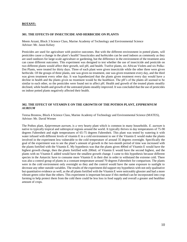# **BOTANY:**

#### **301. THE EFFECTS OF INSECTICIDE AND HERBICIDE ON PLANTS**

Meem Arzani, Block 3 Science Class, Marine Academy of Technology and Environmental Science Advisor: Mr. Jason Kelsey

Pesticides are used for agriculture with positive outcomes. But with the different environment in potted plants, will pesticides cause a change in the plant's health? Insecticides and herbicides can be used indoors as commonly as they are used outdoors for large-scale agriculture or gardening, but the difference in the environment of the treatment area can cause different outcomes. This experiment was designed to test whether the use of insecticide and pesticide on two different plants would affect their growth, soil pH, and health. Twelve plants, six African Violets and six Polka-Dot Plants, were treated for thirty days. Three of each plant were given insecticide while the other three were given herbicide. Of the groups of three plants, one was given no treatment, one was given treatment every day, and the third was given treatment every other day. It was hypothesized that the plants given treatment every day would have a decline in health and the plants given no treatment would be the healthiest. The pH's of the plants all seemed to be similar to each other, so the pesticides were found not to affect pH. Health and growth of the treated plants steadily declined, while health and growth of the untreated plants steadily improved. It was concluded that the use of pesticides on indoor potted plants negatively affected their health.

#### **302. THE EFFECT OF VITAMIN E ON THE GROWTH OF THE POTHOS PLANT,** *EPIPREMNUM AUREUM*

Teresa Brostow, Block 4 Science Class, Marine Academy of Technology and Environmental Science (MATES), Advisor: Mr. David Werner

The Pothos plant, *Epipremnum aureum,* is a very hearty plant which is common in many households. *E. aureum* is native to typically tropical and subtropical regions around the world. It typically thrives in day temperatures of 75-90 degrees Fahrenheit and night temperatures of 65-75 degrees Fahrenheit. This plant was tested by watering it with water infused with different levels of vitamin E in a cold environment to see if the Vitamin E would make the plants involved in the experiment less vulnerable to the cold temperature of around 35 degrees overnight. Specifically the goal of the experiment was to see the plant's amount of growth in the two-month period of time was increased with the plants fortified with the Vitamin E. My hypothesis was that the plants given 400ml of Vitamin E would have the highest growth change, then the plants fortified with 200mL of Vitamin E would have the second highest, and the plants with no Vitamin E added would have the smallest growth change. I came to this hypothesis because different species in the Antarctic have to consume more Vitamin E in their diet in order to withstand the extreme cold. There was also a control group of plants in a constant temperature around 70 degrees Fahrenheit for comparison. The plants were in the cold environment only overnight so they and the control would have the same exposure to sunlight to decrease any other outside variables. The results of the experiment did support my hypothesis with not only qualitative but quantitative evidence as well, as the all plants fortified with the Vitamin E were noticeably glossier and had a more vibrant green color than the others. This experiment is important because if this method can be incorporated into crop farming to help protect them from the cold there could be less loss in food supply and overall a greater and healthier amount of crops.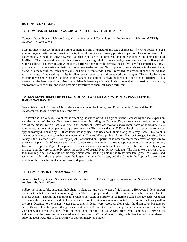# **BOTANY (CONTINUED):**

#### **303. HOW RADISH SEEDLINGS GROW IN DIFFERENT FERTILIZERS**

Cameron Buck, Block 4 Science Class, Marine Academy of Technology and Environmental Science (MATES), Advisor: Dr. John Wnek

Most fertilizers that are bought at a store contain all sorts of unnatural and toxic chemicals. If it were possible to use a more organic fertilizer for growing plants, it would have an extremely positive impact on the environment. This experiment was made to show how well radishes could grow in composted materials compared to chemical-based fertilizers. The composted materials that were tested were egg shells, banana peels, carrot peelings, and coffee grinds. Some seedlings also grew in soil without any fertilizer and soil with chemical-based fertilizer for comparison. First, I put the composted materials in their own containers to decompose. Next, I planted the radish seeds in the seed trays, along with the fertilizers, which each contained six different seeds. Then, I recorded the growth of each seedling that was the tallest of the seedlings in its fertilizer every seven days and compared their heights. The results from the measurements show that the seedlings in the banana peel soil had grown the best out of the organic fertilizers. This means that the best organic fertilizer for radishes is banana peels, which also shows that it's possible to use safer, environmentally friendly, and more organic alternatives to chemical-based fertilizers.

# **304. SEA LEVEL RISE: THE EFFECTS OF SALTWATER INUNDATION ON PLANT LIFE IN BARNEGAT BAY, NJ**

Sarah Daley, Block 3 Science Class, Marine Academy of Technology and Environmental Science (MATES); Advisors: Mr. Jason Kelsey and Dr. John Wnek

Sea level rise is a very real event that is affecting the entire world. This global event is caused by thermal expansion and the melting of glaciers. New Jersey coastal areas, including the Barnegat Bay estuary, are already experiencing one of the highest rates of sea-level rise in the continent. Latest observations show recent rates of approximately 4 mm per year (about 40 cm per century) of sea level rise. This means that by 2050 sea level rise is expected to rise by approximately 30 cm and by 2100 sea level rise is projected to rise about 90 cm along the Jersey Shore. This event is causing soils in coastal areas to become more saline. This could be a problem for residents of Barnegat Bay since New Jersey is the "Garden State." For my project, I conducted an experiment in order to reveal the effects of exposure to saltwater on plant life. Wheatgrass and radish sprouts were both grown in three aquaponics tanks of different salinities; freshwater, 1 ppt, and 2ppt. These plants were used because they are both plants that are edible and relatively easy to manage, and they are commonly grown in gardens of coastal New Jersey residents. The plants were grown over a four-month period. The results of this experiment were that the plants in the freshwater tank grew the slowest and were the smallest, the 1ppt plants were the largest and grew the fastest, and the plants in the 2ppt tank were in the middle of the other two tanks in both size and growth rate.

# **305. COMPARISON OF** *SALICORNIA* **DENSITY**

John DesRochers, Block 3 Science Class, Marine Academy of Technology and Environmental Science (MATES); Advisor: Mr. David Werner

*Salicornia* is an edible, succulent halophyte; a plant that grows in water of high salinity. However, little is known about factors that result in its maximum growth. Thus, this project addressed the location in which *Salicornia* had the highest density. During the experiment, a random selection of *Salicornia* (sometimes called pickleweed) was taken on the marsh with an open quadrat. The number of sprouts of *Salicornia* were counted to determine its density within the area. Distance to the nearest water source and its depth were recorded, along with the distance to *Phragmites Australis*; one of the few plants that grows around *Salicornia*. Another species that grows around *Salicornia* is Smooth Cordgrass, but it was excluded from the experiment because the *Salicornia* grew evenly amongst it*.* My results indicated that the closer to the water edge and the closer to *Phragmites Australis*, the higher the *Salicornia* density. Also the ideal water depth for growth was approximately one meter.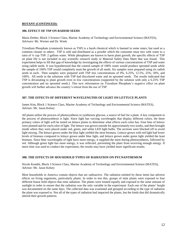#### **BOTANY (CONTINUED):**

# **306. EFFECT OF TSP ON RADISH SEEDS**

Maria Dreher, Block 3 Science Class, Marine Academy of Technology and Environmental Science (MATES), Advisors: Mr. Werner and Dr. Wnek

Trisodium Phosphate (commonly known as TSP) is a harsh chemical which is banned in some states, but used as a common cleaner in others. TSP is sold and distributed as a powder which the consumer must mix with water to a ratio of ¼ cup TSP: 2 gallons water. While phosphates are known to harm plant growth, the specific effects of TSP on plant life is not included in any scientific research study or Material Safety Data Sheet that was found. This experiment helps to fill that gap of knowledge by investigating the effects of various concentrations of TSP and water using radish seeds. It was hypothesized that the control sample of 100% water would produce sprouted seeds while the sample of 100% TSP would completely stunt the growth of all seeds. Six samples were prepared using six radish seeds in each. Then samples were prepared with TSP mix concentrations of 0%, 6.25%, 12.5%, 25%, 50%, and 100%. All seeds in the solutions with TSP had discolored water and no sprouted seeds. The results indicated that TSP is devastating to plant growth even in low concentrations (supported by the solution with only a 6.25% TSP concentration and no sprouted seeds.) This new information on Trisodium Phosphate's negative effect on plant growth will further advance the country's retreat from the use of TSP.

# **307. THE EFFECTS OF DIFFERENT WAVELENGTHS OF LIGHT ON LETTUCE PLANTS**

James Kim, Block 1 Science Class, Marine Academy of Technology and Environmental Science (MATES), Advisor: Mr. Jason Kelsey

All plants utilize the process of photosynthesis to synthesize glucose, a source of fuel for a plant. A key component in the process of photosynthesis is light. Since light has varying wavelengths that display different colors, the three primary colors of light will be tested on lettuce plants to determine what effects each color has. Four bins of lettuce were planted and for each color of light. The lettuce was grown outside for approximately two weeks, and then brought inside where they were placed under red, green, and white LED light bulbs. The sections were blocked off to avoid light mixing. The lettuce grown under the blue light yielded the most biomass. Lettuce grown with red light had lower levels of biomass compared to lettuce grown under blue light, and lettuce grown under green light yielded the least biomass. Since blue wavelengths of light have more energy, it supplied the most during photosynthesis, followed by red. Although green light has more energy, it was reflected, preventing the plant from receiving enough energy. If more time was used to conduct the experiment, the results may have yielded more significant results.

# **308. THE EFFECTS OF HOUSEHOLD TYPES OF RADIATION ON PYCNANTHEMUM**

Nicole Kondrk, Block 3 Science Class, Marine Academy of Technology and Environmental Science (MATES), Advisor: Mr. Jason Kelsey

Most households in America contain objects that are radioactive. The radiation emitted by these items has adverse effects on living organisms, particularly plants. In order to test this, groups of mint plants were exposed to four different house hold objects that emit radiation. The plants were treated equally and exposed to the same amount of sunlight in order to ensure that the radiation was the only variable in the experiment. Each one of the plants' height was documented on the same days. The collected data was examined and grouped according to the type of radiation the plant was exposed to. Not all of the types of radiation had impacted the plants, but the kinds that did dramatically altered their growth patterns.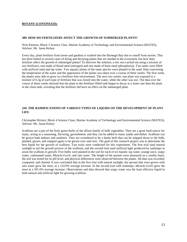#### **BOTANY (CONTINUED):**

#### **309. HOW DO FERTILIZERS AFFECT THE GROWTH OF SUBMERGED PLANTS?**

Nick Patestos, Block 3 Science Class, Marine Academy of Technology and Environmental Science (MATES), Advisor: Mr. Jason Kelsey

Every day, plant fertilizer from lawns and gardens is washed into the Barnegat Bay due to runoff from storms. This has been linked to several cases of dying and decaying plants that are needed in the ecosystem, but how does fertilizer affect the growth of submerged plants? To discover the solution, a test was carried out using a mixture of two fertilizers, one made of blood meal (nitrogen) and one made of bone meal (phosphorus). Two tanks were filled with artificial sand and tap water. Two aquatic plants of the same species were planted in the sand. Data concerning the temperature of the water and the appearance of the plants was taken over a course of three weeks. The first week, the plants were able to grow in a fertilizer-free environment. The next two weeks, one plant was exposed to a mixture of 6.3g of each type of fertilizer that was mixed into the water, while the other was not. The data over the course of three weeks showed that the plant in the fertilizer-filled tank began to decay at a faster rate than the plant in the clean tank, revealing that the fertilizer did have an effect on the submerged plant.

# **310. THE RAMIFICATIONS OF VARIOUS TYPES OF LIQUIDS ON THE DEVELOPMENT OF PLANT LIFE**

Christopher Rickert, Block 4 Science Class, Marine Academy of Technology and Environmental Science (MATES); Advisor: Mr. Jason Kelsey

Scallions are a part of the leafy green herbs of the allium family of bulb vegetables. They are a great food source for many, acting as a seasoning, flavoring, garnishment, and they can be added to many salads and dishes. Scallions can be grown both indoors and outdoors. They are considered to be a hardy herb that can be snipped down to the bulb, planted, grown, and snipped again to be grown over and over. The goal of this research project was to determine the best liquid for the growth of scallions. Two trials were conducted for this experiment. The first trial used natural sunlight to aid the growth process of the scallions, and the second trial used artificial light produced by sunlamps to assist the scallions in growth. Five bulbs were planted in the soil for each of six liquids: tap water, orange juice, soapy water, carbonated water, Miracle-Gro®, and rain water. The height of the sprouts were measured on a weekly basis, the soil was tested for its pH level, and physical differences were observed between the plants. All data was recorded, compared, and charted. It was concluded that in the first trial with natural sunlight, the sprouts that were grown with rain water grew the most, at a 124.9% average increase. In the second trial with sunlamps, Miracle-Gro® grew the most at a 391.6% average increase. Observations and data showed that soapy water was the least effective liquid in both natural and artificial light for growing scallions.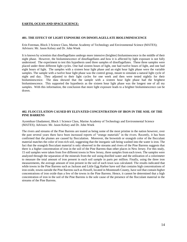#### **EARTH, OCEAN AND SPACE SCIENCE:**

#### **401. THE EFFECT OF LIGHT EXPOSURE ON DINOFLAGELLATE BIOLUMINESCENCE**

Erin Foreman, Block 3 Science Class, Marine Academy of Technology and Environmental Science (MATES); Advisors: Mr. Jason Kelsey and Dr. John Wnek

It is known by scientists that dinoflagellates undergo more intensive (brighter) bioluminescence in the middle of their night phase. However, the bioluminescence of dinoflagellates and how it is affected by light exposure is not fully understood. The experiment to test this hypothesis used three samples of dinoflagellates. These three samples were placed under three different light cycles. One had sixteen hours of light, one had twelve hours of light, and one had eight hours of light. The samples with a sixteen hour light phase and an eight hour light phase were the variable samples. The sample with a twelve hour light phase was the control group, meant to simulate a natural light cycle of night and day. They adjusted to their light cycles for one week and then were tested nightly for their bioluminescence. The data showed that the sample with a sixteen hour light phase had the brightest bioluminescence. This supported the hypothesis as the sixteen hour light phase was the longest one of all my samples. With this information, the conclusion that more light exposure leads to a brighter bioluminescence can be drawn.

#### **402. FLOCCULATION CAUSED BY ELEVATED CONCENTRATION OF IRON IN THE SOIL OF THE PINE BARRENS**

Ayomikun Gbadamosi, Block 1 Science Class, Marine Academy of Technology and Environmental Science (MATES); Advisors: Mr. Jason Kelsey and Dr. John Wnek

The rivers and streams of the Pine Barrens are touted as being some of the most pristine in the nation however, over the past several years there have been increased reports of "orange materials" in the rivers. Recently, it has been confirmed that the plumes are caused by flocculation. Moreover, the brownish or orangish color of the flocculant material matches the color of iron-rich soil, suggesting that the inorganic salt being washed into the water is iron. The fact that the orangish flocculant material is only observed in the streams and rivers of the Pine Barrens suggests that there is a higher concentration of iron in the soil of the Pine Barrens than other places in New Jersey. For this study, 15 soil samples were taken from five different towns in New Jersey, three samples from each town. The samples were analyzed through the separation of the minerals from the soil using distilled water and the utilization of a colorimeter to measure the total amount of iron present in each soil sample in parts per million. Finally, using the three iron measurements, the average amount of iron present in the soil of each town was calculated. The results indicated that while towns in the Pine Barrens such as Jackson and Little Egg Harbor have soil that contains high concentrations of iron oxide, towns outside the Pine Barrens such as Howell, located in Monmouth County, have soil that contain higher concentrations of iron oxide than a few of the towns in the Pine Barrens. Hence, it cannot be determined that a high concentration of iron in the soil of the Pine Barrens is the sole cause of the presence of the flocculant material in the streams of the Pine Barrens.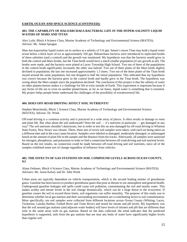#### **EARTH, OCEAN AND SPACE SCIENCE (CONTINUED):**

#### **403. THE CAPABILITY OF HALOARCHAEA BACTERIAL LIFE IN THE HYPER-SALINITY LIQUID WATERS OF MARS AND TITAN**

Alex Lytle, Block 4 Science Class, Marine Academy of Technology and Environmental Science (MATES); Advisor: Mr. Adam Sprague

Mars has hypersaline liquid waters on its surface at a salinity of 316 ppt. Saturn's moon Titan may hold a liquid water ocean below a thick layer of ice at approximately 350 ppt. Haloarchaea bacteria were introduced to replicated broths of these salinities (and a control) and the growth was monitored. My hypothesis was that the bacteria would grow in both the control and Mars broths, but the Titan broth would have a much smaller population (if any growth at all). The broths were made, and the bacteria were plated at Lacey Township High School. Two out of three of the populations in the control broth significantly increased; the other was halved. Two out of three plates of the Mars broth slightly declined in population; the last one increased approximately 1.5 times. Two out of the three plates of the Titan broth stayed around the same population, but one dropped to half the initial population. This indicated that my hypothesis was correct because the bacteria grew in the control broth and hardly grew in the Titan broth. The hypothesis was wrong about the Mars sample since the population declined. The conclusion of this project is that the salinity of water on other planets/moons makes it a challenge for life to exist outside of Earth. This experiment is important because if any forms of life are to exist on another planet/moon, as far as we know, liquid water is something that is essential. My project helps people better understand the challenges of the possibility of extraterrestrial life.

#### **404. DOES OFF-ROAD DRIVING AFFECT SOIL NUTRIENTS?**

Stephen Monchinski, Block 1 Science Class, Marine Academy of Technology and Environmental Science (MATES); Advisor: Dr. Wnek

Off-road driving is a common activity and is practiced in a wide array of places. It often results in damage to roots and plant life. But what about the soil underneath? Does the soil — it's nutrients in particular — get damaged in any way? The soil nutrients shouldn't deteriorate, but in order to test this an area damaged by off-road driving in Wharton State Forest, New Jersey was chosen. There, three sets of seven soil samples were taken, with each set being taken on a different date and in the exact same location. Samples were labeled as damaged, moderately damaged, or undamaged based on the amount of plant life in the sample and the distance from tire tracks. Afterwards, all samples were analyzed for nitrogen, phosphorus, and potassium in order to find a connection between off-road driving and soil nutrient levels. Based on the test results, no connection could be made between off-road driving and soil nutrients, since all of the samples exhibited some sort of change regardless of influence from vehicles.

# **405. THE EFFECTS OF GAS STATIONS ON SOIL COMPOUND LEVELS ACROSS OCEAN COUNTY, NJ**

Alana Ordonez, Block 4 Science Class, Marine Academy of Technology and Environmental Science (MATES); Advisors: Mr. Jason Kelsey and Dr. John Wnek

Urban areas are typically dependent on vehicle transportation, which is the second leading emitter of greenhouse gases. Gasoline has been known to produce greenhouse gases that pose as threats to our atmosphere and general health. Underground gasoline leakages and spills could cause soil pollution, contaminating the soil and nearby water. This makes acidity and nitrate levels in the soil change dramatically, which can be a large threat to the ecosystem. If gasoline causes the soil to exceed those limits, soil organisms can suffer mortality. The purpose of this study was to determine whether local gas stations and their surrounding environment are a contributing factor to soil contamination. More specifically, ten soil samples were collected from different locations across Ocean County (Whiting, Lacey, Tuckerton, Lanoka Harbor, Forked River and Toms River) and tested for nitrate and pH levels. My hypothesis was that the soil around gas stations (and adjacent water bodies) will have levels of nitrates and pH that are different than soils in the same areas with no gas stations. Based on the data collected, the trend indicates that the predicted hypothesis is supported, soils from the gas stations that are near any body of water have significantly higher levels than regular soil.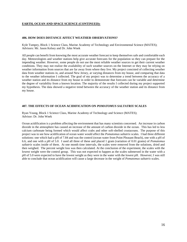#### **EARTH, OCEAN AND SPACE SCIENCE (CONTINUED):**

#### **406. HOW DOES DISTANCE AFFECT WEATHER OBSERVATIONS?**

Kyle Tumpey, Block 1 Science Class, Marine Academy of Technology and Environmental Science (MATES); Advisors: Mr. Jason Kelsey and Dr. John Wnek

All people can benefit from knowing the most accurate weather forecast to keep themselves safe and comfortable each day. Meteorologists and weather stations help give accurate forecasts for the population so they can prepare for the impending weather. However, some people do not use the most reliable weather sources to get their current weather conditions. They may not realize the availability of such weather sources on the Internet or they may be relying on weather information from sources that are far away from where they live. My project consisted of collecting weather data from weather stations in, and around New Jersey, at varying distances from my house, and comparing that data to the weather information I collected. The goal of my project was to determine a trend between the accuracy of a weather station and its distance from my house in order to demonstrate that forecasts can be variable and determine the degree of variability from a known location. The majority of the results I collected during my project supported my hypothesis. The data showed a negative trend between the accuracy of the weather station and its distance from my house.

#### **407. THE EFFECTS OF OCEAN ACIDIFICATION ON** *POMATOMUS SALTATRIX* **SCALES**

Ryan Young, Block 1 Science Class, Marine Academy of Technology and Science (MATES); Advisor: Dr. John Wnek

Ocean acidification is a problem affecting the environment that has many scientists concerned. An increase in carbon dioxide in the atmosphere has caused an increase of the amount of carbon dioxide in the ocean. This has led to less calcium carbonate being formed which would affect crabs and other soft-shelled crustaceans. The purpose of this project was to see how acidification of ocean water would affect the *Pomatomus saltatrix* scales. I had three different solutions: one which had a pH of 7.84 and was the control (ocean water from Point Pleasant Beach), one with a pH of 6.6, and one with a pH of 5.0. I used all three of these and placed 1 gram (variation of 0.01 grams) of *Pomatomus saltatrix* scales inside of them. At one month time intervals, the scales were removed from the solutions, dried and then weighed. The percent weight loss was then calculated. At the conclusion of the experiment, the scales with the lowest weight were the control group. This was not expected to happen as the scales submersed in the water with a pH of 5.0 were expected to have the lowest weight as they were in the water with the lowest pH. However; I was still able to conclude that ocean acidification will cause a large decrease in the weight of *Pomatomus saltatrix* scales.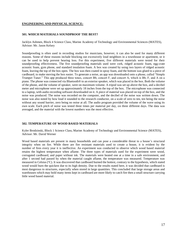#### **ENGINEERING AND PHYSICAL SCIENCE:**

#### **501. WHICH MATERIALS SOUNDPROOF THE BEST?**

Jacklyn Ashmen, Block 4 Science Class, Marine Academy of Technology and Environmental Sciences (MATES), Advisor: Mr. Jason Kelsey

Soundproofing is often used in recording studios for musicians, however, it can also be used for many different reasons. Some of these reasons include blocking out excessively loud neighbors in a townhouse or apartment, or it can be used to help prevent hearing loss. For this experiment, five different materials were tested for their soundproofing effectiveness. The five soundproofing materials used were cork, ridged acoustic foam, egg-crate acoustic foam, gym phone, and standard insulation foam. A box was created by using two layers of ridged acoustic foam, leaving the top of the box open. The box was then coated in spray foam, and the bottom was glued to a piece of cardboard, to make moving the box easier. To generate a noise, an app was downloaded onto a phone, called "Simple Trumpet Tuner." This app produced three tones, concert Bb, concert F, and concert A, which is Bb, F, and A on a piano. The phone was connected via Bluetooth® to an exterior speaker, which was placed in the box. Both the volume of the phone, and the volume of speaker, were on maximum volume. A tripod was set up above the box, and a decibel meter and microphone were set up approximately 18 inches from the top of the box. The microphone was connected to a laptop, with audio recording software downloaded on it. A piece of material was placed on top of the box, and the noise was produced. The noise was recorded on the computer, and the decibel of the noise was written down. The noise was also noted by how loud it sounded to the research conductor, on a scale of zero to ten, ten being the noise without any sound barrier, zero being no noise at all. The audio program provided the volume of the wave using its own scale. Each pitch of noise was tested three times per material per day, on three different days. The data was averaged, and the material with the lowest numbers was the most effective.

# **502. TEMPERATURE OF WOOD BASED MATERIALS**

Kyler Brodzinski, Block 1 Science Class, Marine Academy of Technology and Environmental Science (MATES), Advisor: Mr. David Werner

Wood based materials are present in many households and can pose a considerable threat to a house's structural integrity when on fire. While there are fire resistant materials used to create a house, it is evident by the number of fires every year it is ineffective. An experiment was conducted to observe which wood based material retains the highest temperature when aflame. The three types of materials used for the experiment were wood, corrugated cardboard, and paper without ink. The materials were heated one at a time in a safe environment, and after 1 second had passed by when the material caught aflame, the temperature was measured. Temperature was measured in Celsius ( $\degree$ C). It was discovered that cardboard burned the hottest, contrary to the hypothesis, which stated wood would burn the quickest due to its high density. Due to the results stated here, it was decided that cardboard is most dangerous to structures, especially when stored in large quantities. This concluded that large storage areas and warehouses which may hold many items kept in cardboard are more likely to catch fire then a small structure carrying little wood based material.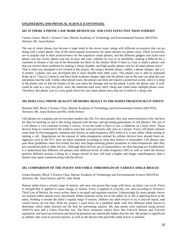#### **ENGINEERING AND PHYSICAL SCIENCE (CONTINUED):**

#### **503. IS THERE A PHONE CASE MORE BENEFICIAL AND COST EFFECTIVE THAN OTHERS?**

Connor Castro, Block 1 Science Class, Marine Academy of Technology and Environmental Science (MATES) Advisor: Mr. Jason Kelsey

The use of smart phones has become a huge trend in the recent years, along with different accessories that can go along with a smart phone. One of the most popular accessories for smart phones are phone cases. These accessories are so popular due to their protectiveness for the expensive smart phones, and the different gadgets and styles each phone case has. Every phone case has its pros and cons, whether its cost or its durability, making it difficult for a customer to choose a case out of the thousands out there on the market. What if there is a way to make a phone case that can resolve these problems by making a cheap, durable, and high quality phone case for all smart phone users? That is what was attempted to be created in this project. By using a durable plastic, rubber, a phone charger, and a 3- D printer, a phone case was developed that is more durable than other cases. This phone case is able to withstand drops up to 7 feet (2.2 meters), and has a built in phone charger right into the phone case so the user can plug the case and phone into the wall. Unlike other phone cases, the phone case does not require a protection screen, since it is deep in the phone case so that the borders of the case takes the damage and not the phone. Lastly, the phone case, if sold, could be sold at a very low price, since the materials used were fairly cheap and could make multiple phone cases. Therefore, this phone case is a very good choice for any smart phone users that are in need of a cheap case.

# **504. DOES CELL PHONE QUALITY OR MODEL RESULT IN THE RADIO FREQUENCIES IT EMITS?**

Brennan Hall, Block 3 Science Class, Marine Academy of Technology and Environmental Science (MATES), Advisors: Mr. Jason Kelsey and Mrs. Kelly Kelsey

Cell phones are a popular part of everyday modern day life. For most people, they may seem essential to life, but how are they be harming us and is this being repaired with the new and upcoming generations of cell phones? The use of a cell phone is very common in today's society. Everyone tends to have or use a cellphone on a daily basis. These devices keep us connected to the world in ways that were previously only seen as a dream. Every cell phone releases some kind of electromagnetic radiation also known as radio-frequency (RF) when it is in use, either while texting or making a call. Regulations on the amount of radio-frequencies emitted by cellular devices have already been set. Agencies such as the FCC have set these standards according to what they believe is reasonable. Cell phones may pass these guidelines when first tested, but they may begin emitting greater quantities of radio-frequencies after they are considered used or older devices. Although these devices are so extraordinary, are they harming us? Furthermore, it is understood that different cell phones emit different levels of radio-frequency (RF) as well as when the devices perform different actions. Calling for a longer period of time will emit a higher and longer radiofrequency than a shorter time spent communicating with the device.

#### **505. COMPARISON OF THE INJURY AND FORCE THRESHOLDS OF VARIOUS ANKLE BRACES**

Emma Homoki, Block 3 Science Class, Marine Academy of Technology and Environmental Science (MATES); Advisors: Mr. Jason Kelsey and Dr. John Wnek

Human ankles have a certain range of motion, and once one passes that range with force, an injury can occur. Force is strength that is applied to cause change or motion. Force is applied in everyday use, and according to Newton's Third Law of Motion, for every action, there is an equal and opposite reaction. Unknowingly by many people, forces are exerted within almost every movement. When someone twists his or her ankle, he or she is applying force to the ankle, bending it outside the ankle's regular range of motion. Athletes use ankle braces to try to prevent injury, and certain braces do not help. With my project, I used force on a modeled ankle with four different ankle braces to determine which ankle brace(s) are the best for preventing injuries. My data points were analyzed using several ANOVA tests and a Tukey Post-Hoc test. The force resistance values show that Velcro® flexion and Velcro® supination, and laced up extension and laced up pronation are statistically higher than the rest. My project is significant to athletes who want to prevent injuries, as well as the doctors that prescribe ankle braces to patients.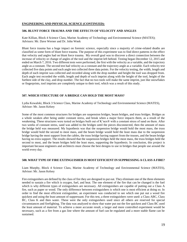#### **ENGINEERING AND PHYSICAL SCIENCE (CONTINUED):**

#### **506. BLUNT FORCE TRAUMA AND THE EFFECTS OF VELOCITY AND ANGLES**

Kate Killian, Block 4 Science Class, Marine Academy of Technology and Environmental Science (MATES); Advisors: Mr. Dave Werner and Dr. John Wnek

Blunt force trauma has a huge impact on forensic science, especially since a majority of crime-related deaths are classified as some form of blunt force trauma. The purpose of this experiment was to find direct patterns in the effect that velocity and angles had on blunt force trauma. My overall goal was to discover a direct connection between the increase of velocity or change of angles of the tool and the imprint left behind. Testing began December 12, 2015 and ended on March 7, 2016. Two different tests were performed, the first with the velocity as a variable, and the trajectory angle as a constant. The second test had velocity as a constant and the trajectory angle as a variable. Each velocity test collected five data points and each angle test collected three data points. For the velocity testing, the width, length and depth of each imprint was collected and recorded along with the drop number and height the tool was dropped from. Each angle test recorded the width, length and depth of each imprint along with the height of the tool, height of the furthest side of the clay, and drop number. The fact that no two tools will make the same imprint, just like snowflakes or fingerprints, tool imprints are completely unique to their tool, which was a result of this study.

# **507. WHICH STRUCTURE OF A BRIDGE CAN HOLD THE MOST MASS?**

Lydia Kowalski, Block 3 Science Class, Marine Academy of Technology and Environmental Science (MATES), Advisor: Mr. Jason Kelsey

Some of the most common structures for bridges are suspension bridges, beam bridges, and truss bridges. Bridges as a whole weaken after being under constant stress, and break when a major force impacts them, as a result of the weakening. These structures were tested on bridges built out of K'nex® with a constant stress of sand on them. After two weeks of constant stress, sand was added to the bridges until the pieces disconnected, then the amount of mass the bridge held was measured. My hypothesis was that the suspension bridge would hold the most mass, the truss bridge would hold the second to most mass, and the beam bridge would hold the least mass due to the suspension bridge having the most support from the cables, the truss bridge having support from the trusses, and the beam bridge having no extra support. The results showed that the suspension bridges held the most mass, the truss bridges held the second to most, and the beam bridges held the least mass, supporting the hypothesis. In conclusion, this project is important because engineers and architects must choose the best designs to use in bridges that people use around the world every day.

#### **508. WHAT TYPE OF FIRE EXTINGUISHER IS MOST EFFICIENT IN SUPPRESSING A CLASS A FIRE?**

Liam Murphy, Block 4 Science Class, Marine Academy of Technology and Environmental Science (MATES), Advisor: Mr. Jason Kelsey

Fire extinguishers are defined by the class of fire they are designed to put out. They eliminate one of the three elements needed to sustain a fire which is oxygen, fuel, and heat. The one element of the fire that can be changed is the fuel which is why different types of extinguishers are necessary. All extinguishers are capable of putting out a Class A fire, such as paper or wood. The only difference between extinguishers is which one is most efficient at doing so. In order to find the most efficient extinguisher, an experiment was conducted to see which one put out a wood fire quickest and using the least amount of suppressant. For this test, a three extinguishers were used: a Class ABC, Class BC, Class K and then water. These were the only extinguishers used since all others are reserved for special circumstances and firefighting. The data was analyzed to show that water put out the fire quickest and Class BC used the least amount of material. To achieve a more accurate result, a larger and more controlled experiment would be necessary, such as a fire from a gas line where the amount of fuel can be regulated and a more stable flame can be sustained.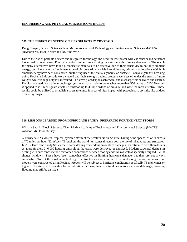#### **ENGINEERING AND PHYSICAL SCIENCE (CONTINUED):**

#### **509. THE EFFECT OF STRESS ON PIEZOELECTRIC CRYSTALS**

Dung Nguyen, Block 3 Science Class, Marine Academy of Technology and Environmental Science (MATES); Advisors: Mr. Jason Kelsey and Dr. John Wnek

Due to the rise of portable devices and integrated technology, the need for low-power wireless sensors and actuators has surged in recent years. Energy reduction has become a driving for new methods of renewable energy. The search for many alternatives have found piezoelectric materials to be effective due to their sensitivity to not only ambient energy, but kinetic energy. Implementation of piezoelectric materials into highways, bridges, and locations with high ambient energy have been considered, but the fragility of the crystals generate an obstacle. To investigate this breaking point, Rochelle Salt crystals were created and their strength against pressure were tested under the stress of gram weights while voltage output is measured. The stress placed upon each crystal and discharge was analysed and charted. Results indicated that a thinner, oblong crystal was more likely to break when more than 350 grams or 3430 Newtons is applied to it. Thick square crystals withstood up to 4900 Newtons of pressure and were the most effective. These results could be utilized to establish a stress tolerance in areas of high impact with piezoelectric crystals, like bridges or landing strips.

#### **510. LESSONS LEARNED FROM HURRICANE SANDY: PREPARING FOR THE NEXT STORM**

William Sitarik, Block 3 Science Class, Marine Academy of Technology and Environmental Science (MATES); Advisor: Mr. Jason Kelsey

A hurricane is "a violent, tropical, cyclonic storm of the western North Atlantic, having wind speeds, of or in excess of 72 miles per hour (32 m/sec). Throughout the world hurricanes threaten both the life of inhabitants and structures. In 2012 Hurricane Sandy Struck the NJ area dealing tremendous amounts of damage at an estimated 50 billion dollars as approximately 346,000 housing units along the coast were destroyed or damaged. Modern structural designs in dealing with hurricanes include reinforced connections between roofing and walls as well as specially designed PVC® shutter windows. These have been somewhat effective in limiting hurricane damage, but they are not always successful. To test the most suitable design for structures as we continue to rebuild along our coastal areas, four models were constructed using Revit®. Models will be subject to hurricane conditions, specifically 75 mph winds or higher. This study will provide a better indication for the optimal structural design to sustain wind damage; however, flooding may still be an issue.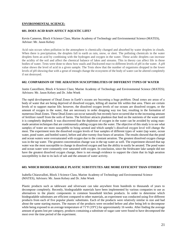#### **ENVIRONMENTAL SCIENCE:**

#### **601. DOES ACID RAIN AFFECT AQUATIC LIFE?**

# Kevin Cameron, Block 4 Science Class, Marine Academy of Technology and Environmental Science (MATES), Advisor: Mr. Jason Kelsey

Acid rain occurs when pollution in the atmosphere is chemically changed and absorbed by water droplets in clouds. When there is precipitation, the droplets fall to earth as rain, snow, or sleet. The polluting chemicals in the water droplets form an acid by combining with the hydrogen and oxygen in the water. These acidic droplets can increase the acidity of the soil and affect the chemical balance of lakes and streams. This in theory can affect life in those bodies of water. Tests were done to show how snails and Duckweed react to different levels of pH in the water. A pH value shows the level of acid in a given sample. The Tests show that the number of organisms dropped in the lower levels of pH showing that with a great of enough change the ecosystem of the body of water can be altered completely if not destroyed.

#### **602. COMPARISON OF THE AERATION SUSCEPTIBILITIES OF DIFFERENT TYPES OF WATER**

Justin Cancelliere, Block 4 Science Class; Marine Academy of Technology and Environmental Science (MATES); Advisors: Mr. Jason Kelsey and Dr. John Wnek

The rapid development of Dead Zones in Earth's oceans are becoming a huge problem. Dead zones are areas of a body of water that are being deprived of dissolved oxygen, killing all marine life within that area. There are certain levels of to support marine life; however, the dissolved oxygen levels of our oceans are dissolved oxygen, or the amount of oxygen in the water, that are necessary in order dropping way too fast, resulting in the formation of numerous Dead Zones. These Dead Zones can occur naturally but recently have occurred due to the increasing amount of fertilizer runoff from the soils of farms. The fertilizer attracts plankton that feed on the nutrients of the water until it is completely depleted. It was discovered that the depletion of oxygen in the water can be avoided by using manmade aeration techniques that are continuously adding oxygen into the water. The objective of this study is to see what samples of water are more susceptible to being aerated and which sample's dissolved oxygen level will change the most. The experiment tests the dissolved oxygen levels of four samples of different types of water (tap water, ocean water, pond water, and bottled water), before and after twenty-four hours of aeration. The results showed that the pond and ocean waters were oversaturated with oxygen due to the constant aeration. The greatest dissolved oxygen change was in the tap water. The greatest concentration change was in the tap water as well. The experiment showed that tap water was the most susceptible to change in dissolved oxygen and has the ability to easily be aerated. The pond water and ocean water were constantly over saturated with oxygen. In conclusion, since the freshwater lake sample did not have the greatest dissolved oxygen change, there is not enough evidence to support the claim that its high aeration susceptibility is due to its lack of salt and the amount of water activity.

# **603. WHICH BIODEGRADABLE PLASTIC SUBSTITUTES ARE MORE EFFICIENT THAN OTHERS?**

Isabella Chiaravalloti, Block 3 Science Class, Marine Academy of Technology and Environmental Science (MATES), Advisors: Mr. Jason Kelsey and Dr. John Wnek

Plastic products such as tableware and silverware can take anywhere from hundreds to thousands of years to decompose completely. Recently, biodegradable materials have been implemented by various companies to use as alternatives to the plastic components in common household kitchen products. In order to determine which biodegradable substitutes are efficient compared to other materials, an experiment was conducted using five different products from each of five popular plastic substitutes. Each of the products were relatively similar in size and had about the same starting masses. The masses of the products were recorded before and after being left to decompose while being exposed to an average temperature of  $71^{\circ}F(19^{\circ}C)$  for approximately 16 weeks. After finding the average amount of grams lost per category, products containing a substitute of sugar cane were found to have decomposed the most over the time period of the experiment.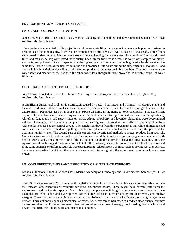#### **ENVIRONMENTAL SCIENCE (CONTINUED):**

#### **604. QUALITY OF POND FILTRATION**

James Davenport, Block 4 Science Class, Marine Academy of Technology and Environmental Science (MATES); Advisor: Mr. Jason Kelsey

The experiments conducted in this project tested three separate filtration systems in a man-made pond ecosystem. In order to keep the pond healthy, filters reduce ammonia and nitrite levels, as well as keep pH levels safe. Three filters were tested to determine which one was most efficient at keeping the water clean. An ultraviolet filter, sand based filter, and man-made bog were tested individually. Each ran for two weeks before the water was sampled for nitrite, ammonia, and pH levels. It was suspected that the highest quality filter would be the bog. Nitrite levels remained the same for all three filters, as the fish living in the pond produced little waste during the experiments. However, pH and ammonia levels varied between filters, with the bog producing the most desirable numbers. The bog alone kept the water safer and cleaner for the fish then the other two filters, though all three proved to be a viable source of water filtration.

#### **605. ORGANIC SUBSTITUTES FOR PESTICIDES**

Joey Shrager, Block 4 Science Class, Marine Academy of Technology and Environmental Science (MATES), Advisor: Mr. Jason Kelsey

A significant agricultural problem is destruction caused by pests - both insect and mammal will destroy plants and harvest. Traditional solutions such as pesticides and poisons use chemicals which affect the ecological balance of the environment. Pesticides used on indoor plants expose all living in the home to toxic chemicals. This experiment explores the effectiveness of less ecologically invasive methods used to repel and exterminate insects, specifically whiteflies, fungus gnats and spider mites on citrus, Alpine strawberry and lavender plants that were overwintered indoors. Three sets, each containing one plant of each variety, were exposed to three different organic pest controls with one last set used as the control group. The conclusion drawn from this experiment is that while all methods had some success, the best method of repelling insects from plants overwintered indoors is to keep the plants at the optimum humidity level. The second part of this experiment investigated methods to protect produce from squirrels. Grape tomatoes were left outdoors each week for nine weeks and the tomatoes or surrounding area were altered with non-toxic repellants. The aim was to find if these repellants taught the squirrels to leave the tomatoes alone. Since the squirrels could not be tagged it was impossible to tell if there was any learned behavior since it couldn't be determined if the same squirrels or different squirrels were participating. Also since it was impossible to isolate just the squirrels, there was reasonable doubt that other mammals were not interfering with the experiment, so no conclusions were drawn.

# **606. COST EFFECTIVENESS AND EFFICIENCY OF ALTERNATE ENERGIES**

Nicholas Stanzione, Block 4 Science Class, Marine Academy of Technology and Environmental Science (MATES); Advisor: Mr. Jason Kelsey

The U.S. alone generates 67% of its energy through the burning of fossil fuels. Fossil fuels are a nonrenewable resource that releases large quantities of naturally occurring greenhouse gasses. These gasses have harmful effects on the environment and on the atmosphere. Due to this many people are switching to alternate sources of energy. Some examples are wind, solar, and hydro power. Other sources of clean alternate energy are geothermal, and nuclear energies. These sources produce little to no harmful emissions but at the cost of efficiency or being dangerous to humans. Forms of energy such as mechanical or magnetic energy can be harnessed to produce clean energy, but may be less cost effective. To determine an efficient yet cost effective source of energy, I took reading from machines and devices that harnessed solar, hydro and mechanical energies.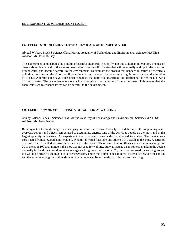#### **ENVIRONMENTAL SCIENCE (CONTINUED):**

#### **607. EFFECTS OF DIFFERENT LAWN CHEMICALS ON RUNOFF WATER**

Abigail Wilbert, Block 3 Science Class, Marine Academy of Technology and Environmental Science (MATES), Advisor: Mr. Jason Kelsey

This experiment demonstrates the buildup of harmful chemicals in runoff water due to human interaction. The use of chemicals on lawns and in the environment affects the runoff of water that will eventually end up in the ocean or groundwater, and become harmful to the environment. To simulate the process that happens in nature of chemicals polluting runoff water, the pH of runoff water in an experiment will be measured using litmus strips over the duration of 10 days. After these ten days, it has been concluded that herbicide, insecticide and fertilizer all lower the pH levels of runoff water. The water became more acidic throughout the duration of the experiment. This means that the chemicals used to enhance lawns can be harmful to the environment.

#### **608. EFFICIENCY OF COLLECTING VOLTAGE FROM WALKING**

Ashley Wilson, Block 3 Science Class, Marine Academy of Technology and Environmental Science (MATES); Advisor: Mr. Jason Kelsey

Running out of fuel and energy is an emerging and immediate crisis of society. To aid the end of this impending issue, everyday actions and objects can be used to accumulate energy. One of the activities people do the most and in the largest quantity is walking. An experiment was conducted using a device attached to a shoe. The device was constructed from a rewired hand-cranked, dynamo-powered flashlight and attached in a cradle to the shoe. A series of tests were then executed to prove the efficiency of the device. There was a total of 40 tests, each 5 minutes long. For 20 of them, or 100 total minutes, the shoe was not used for walking, but was instead a control test, cranking the device manually by hand; this was done at an average walking pace. For the other 20, the shoe was used for walking, to test if it would be effective enough to collect energy from. There was found to be a minimal difference between the control and the experimental groups, thus showing that voltage can be successfully collected from walking.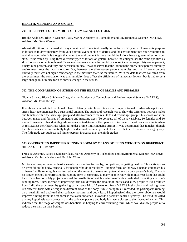#### **HEALTH, MEDICINE AND SPORTS:**

#### **701. THE EFFECT OF HUMIDITY OF HUMECTANT LOTIONS**

Brooke Andolsen, Block 4 Science Class, Marine Academy of Technology and Environmental Science (MATES), Advisor: Mr. Dave Werner

Almost all lotions on the market today contain and Humectant usually in the form of Glycerin. Humectants purpose in lotions is to draw moisture from your bottom layers of skin or dermis and the environment into your epidermis to revitalize your skin. It is thought that when the environment is more humid the lotions have a greater effect on your skin. It was tested by using three different types of lotions on gelatin, because the collagen has the same qualities as skin. Lotions was put into three different environments where the humidity was kept at an average thirty-seven percent, ninety- nine percent, and fifty-one percent humidity. It was observed that the lotion in the ninety-nine percent humidity environment kept the most moisture. But, between the thirty-seven percent humidity and the fifty-one percent humidity there was not significant change in the moisture that was maintained. With the data that was collected from the experiment the conclusion was that humidity does affect the efficiency of humectant lotions, but it had to be a large change in humidity for it to show a change in the results.

#### **702. THE COMPARISON OF STRESS ON THE HEARTS OF MALES AND FEMALES**

Gianna Brucato Block 3 Science Class, Marine Academy of Technology and Environmental Science (MATES); Advisor: Mr. Jason Kelsey

It has been demonstrated that females have relatively faster heart rates when compared to males. Also, when put under stress, heart rate increases by a substantial amount. The subject of research was to show the difference between males and females within the same age group and also to compare the results to a different age group. This shows variation between males and females of premature and maturing ages. To compare all of these variables, 10 females and 10 males from each fifth and ninth grade were tested to determine their percent of increase in heart beats per minute when at rest against their heart rate when put under a time limit (inducing stress). It was determined that females, though their heart rates were substantially higher, had around the same percent of increase that had to do with their age group. The fifth grade test subjects had higher percent increases than the ninth graders.

#### **703. CORRECTING IMPROPER RUNNING FORM BY MEANS OF USING WEIGHTS ON DIFFERENT AREAS OF THE BODY**

Frank D'Agostino, Block 1 Science Class, Marine Academy of Technology and Environmental Science (MATES); Advisors: Mr. Jason Kelsey and Dr. John Wnek

Millions of people run on at least a weekly basis; either for hobby, competition, or getting healthy. This activity can be stressful on the body, especially for people who do it regularly. Running form, or the way a person composes his or herself while running, is vital for reducing the amount of stress and potential energy on a person's body. There is no proven method for correcting the running form of someone, so many people run with an incorrect form that could harm his or her body. My project analyzed the possibility of weights being an effective method of correcting a person's running form. A new method of improving form could reduce the amount of injuries and allow people to live healthier lives. I did the experiment by gathering participants 14 to 15 years old from MATES high school and making them run different trials with a weight on different areas of the body. While doing this, I recorded the participants running on a treadmill and analyzed their cadence, posture, and body lean. I hypothesized that the lower abdomen would improve running form the best because the lower abdomen is towards a person's center of gravity. The trend indicated that my hypothesis was correct in that the cadence, posture and body lean were closest to their accepted values. This indicated that the usage of weights was beneficial in helping to correct running form, which would allow people ve to reduce the strain on their bodies.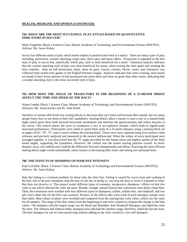## **HEALTH, MEDICINE AND SPORTS (CONTINUED):**

#### **704. WHAT ARE THE MOST SUCCESSFUL PLAY STYLES BASED ON QUANTITATIVE INDICATORS IN SOCCER?**

Mark Fingerhut, Block 4 Science Class, Marine Academy of Technology and Environmental Science (MATES), Advisor: Mr. Jason Kelsey

Soccer has different styles of play which teams employ to perform their best in a match. There are many types of play including, possession, counter attacking, target man, direct play and many others. Possession is regarded as the best style of play in soccer but, statistically which play style is most beneficial for a team? Statistical analysis indicates that the counter attacking style of play was most beneficial for teams, often scoring the most goals and winning the most matches. Data on ball possession, shots, shots on goal, crosses, corners, blocks, saves, and clearances was collected from twenty-five games of the English Premier League. Analysis indicates that when winning, most teams are found to have lower percent of ball possession but more shots and shots on goals than other teams, indicating that a counter attacking style is the most successful style of play.

# **705. HOW DOES THE ANGLE OF TRAJECTORY IN THE BEGINNING OF A 25-METER SPRINT AFFECT THE TIME AND SPEED OF THE RACE?**

Adam Gamba, Block 1 Science Class, Marine Academy of Technology and Environmental Science (MATES), Advisors: Mr. Jason Kelsey and Dr. John Wnek

Sprinters of various skill levels use starting blocks to decrease their race times and increase their speeds, but not many people know how to use them to their full capabilities. Starting blocks allow a runner to start a race at a slanted body angle which gives them both forward horizontal momentum and stretches the gastrocnemius and soleus muscles in the calves. This stretch allows the racer to commence a race in an explosive manner, which leads to significantly increased performance. Participants were asked to sprint three trials of a 25-meter distance using a starting block set at angles of 65°, 70°, 75°, and a control without the starting block. These races were captured using slow-motion video software and precisely analyzed and measured to the nearest millisecond. When the values of every participant were averaged together, it was discovered that the 75° angle provided for the fastest times and highest speeds of the three tested angles, supporting the hypothesis. However, the control was the fastest starting position overall. In shortdistance races, one millisecond could be the difference between championship and defeat. Knowing the most efficient starting block angle would undoubtedly assist runners in decreasing their times and setting new personal bests.

#### **706. THE EFFECTS OF SHAMPOO ON HAIR DYE INTENSITY**

Kate LaVallee, Block 3 Science Class, Marine Academy of Technology and Environmental Science (MATES); Advisor: Mr. Jason Kelsey

Hair dye fading is a common problem for those who dye their hair. Fading is caused by excess heat and washing of the hair, this is because shampoos strip the hair of oils but in doing so, can strip the dyes or leave it exposed to water that then can dissolve it. This project tested different types of common, inexpensive shampoos' effects on hair dye color to see which affected the color the most. Blonde, straight, natural human hair extensions were dyed a deep blue. Then, the extensions were washed with four different types of shampoos; sulfate, sulfate-free, anti-dandruff, and low pH; every other day for the best case scenario. Pictures of the effects after each wash of each shampoo sample were then taken. Blue values of photo were recorded and compared from the starting blue color value, which was the same for all samples. The range of the blue values from the beginning to end were created to compare the change in the blue values. The shampoo with the largest range was the Head and Shoulders Anti-Dandruff Shampoo, and faded the color the most. The Johnson and Johnson Baby shampoo (low pH) had the smallest range; therefore, faded the dye the least. The best shampoo for use of color-preserving without adding to the color would be a low-pH shampoo.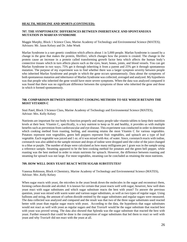## **HEALTH, MEDICINE AND SPORTS (CONTINUED):**

#### **707. THE SYMPTOMATIC DIFFERENCES BETWEEN INHERITANCE AND SPONTANEOUS MUTATION IN MARFAN SYNDROME**

Maggie Murphy, Block 1 Science Class, Marine Academy of Technology and Environmental Science (MATES); Advisors: Mr. Jason Kelsey and Dr. John Wnek

Marfan Syndrome is a rare genetic condition which affects about 1 in 5,000 people. Marfan Syndrome is caused by a change in the gene that makes the protein, fibrillin1, which changes how the protein is created. The change in the protein cause an increase in a protein called transforming growth factor beta which affects the human body's connective tissues which in turn affects places such as the eyes, heart, bones, joints, and blood vessels. You can get Marfan Syndrome in two ways; 75% get it through inheriting it from a parent and 25% get it through spontaneous mutation. The purpose of my experiment was to find whether there was a larger symptom severity between people who inherited Marfan Syndrome and people in which the gene occurs spontaneously. Data about the symptoms of both spontaneous mutation and inheritance of Marfan Syndrome was collected, averaged and analyzed. My hypothesis was that people who inherited the gene would have more severe symptoms. When the data was analyzed compared it was found that there was no significant difference between the symptoms of those who inherited the gene and those in which it formed spontaneously.

#### **708. COMPARISON BETWEEN DIFFERENT COOKING METHODS TO SEE WHICH RETAINS THE MOST VITAMIN C**

Stuti Patel, Block 3 Science Class, Marine Academy of Technology and Environmental Science (MATES), Advisor: Mrs. Kelly Kelsey

Nutrients are important for our body to function properly and many people take vitamin tablets to keep their nutrition levels at their best. Vitamin C, specifically, is a key nutrient to keep us fit and healthy, it provides us with multiple benefits such as prevention from cardiovascular and eye disease. This experiment was conducted in order to determine which cooking method from roasting, boiling, and steaming retains the most Vitamin C for various vegetables. Potatoes represent root vegetables, green bell peppers represent fruit vegetables, and spinach are a type of leaf vegetable. Each vegetable was juiced and 1 oz. of it was mixed with 4oz. of water. Since, cornstarch reacts with iodine, cornstarch was also added to the sample mixture and drops of iodine were dropped until the color of the juice changed to a blue or purple. The number of drops were calculated as how many milligrams per 1 gram was in the sample using a reference sample. Steaming appeared to be the best cooking method for potatoes and the green bell pepper, while roasting was the best method in order to retain nutrients for spinach. However, the difference between roasting and steaming for spinach was not large. For most vegetables, steaming can be concluded as retaining the most nutrients.

# **709. HOW WELL DOES YEAST REACT WITH SUGAR SUBSTITUTES?**

Vanessa Robinson, Block 4 Chemistry, Marine Academy of Technology and Environmental Science (MATES), Advisor: Mrs .Kelly Kelsey

When sugar reacts with yeast, the microbes in the yeast break down the molecules in the sugar and reconstruct them, forming carbon dioxide and alcohol. It is known for certain that yeast reacts well with sugar; however, how well does yeast react with sugar substitutes and which sugar substitute reacts the best with yeast? To answer the previous question, yeast was mixed with warm water and various sugar substitutes, as well as two types of regular sugar. Using balloons and string, the amount of carbon dioxide emitted by the sugar substitutes and regular sugars were measured. The data collected was analyzed and compared and the result was that two of the three sugar substitutes used reacted better with yeast than regular sugar reacts with yeast. According to the data, the hypothesis that sugar substitutes would not react as well with yeast as regular sugars and that Truvia® would be the sugar substitute that reacted best with yeast was proved wrong. The data also showed that Splenda was the sugar substitute that reacted the best with yeast. Further research that could be done is the composition of sugar substitutes that led them to react so well with yeast and why Truvia® did not react with the yeast at all.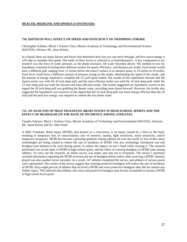# **HEALTH, MEDICINE AND SPORTS (CONTINUED):**

#### **710. DEPTH OF PULL EFFECT ON SPEED AND EFFICIENCY OF SWIMMING STROKE**

Christopher Schober, Block 1 Science Class, Marine Academy of Technology and Environmental Science (MATES); Advisor: Mr. Jason Kelsey

In a liquid, there are many factors and forces that determine how fast you can move through, and how much energy it will take to maintain that speed. The study of these forces is referred to as hydrodynamics. A key component to my research was the force of water pressure, as the depth increases, the water becomes denser. My method to test my hypothesis consisted of testing three different strokes for speed, efficiency, and distance per stroke. Each stroke would have a different pull, ranging from 12 inches below the water's surface at its deepest point, to 16 inches to 20 inches. Each level would have a different amount of pressure acting on the stroke, determining the speed of the stroke, and the amount of energy required to complete the 25 yard sprint tested. The results of the experiment showed that the fastest stroke was with the 20 inch deep pull, and the most efficient stroke was with the 16 inch deep pull, while the 12 inch deep pull was both the slowest and least efficient stroke. The results suggested my hypothesis correct in the regard the 20 inch deep pull was grabbing the denser water, providing more thrust forward. However, the results also suggested the hypothesis was incorrect in the regard that the 16 inch deep pull was more energy efficient than the 20 inch pull because less energy was required to control the less dense water.

#### **711. AN ANALYSIS OF MILD TRAUMATIC BRAIN INJURY IN HIGH SCHOOL SPORTS AND THE EFFECT OF HEADGEAR ON THE RATE OF INCIDENCE AMONG ATHLETES**

Claudia Schreier, Block 1 Science Class, Marine Academy of Technology and Environmental (MATES); Advisors: Mr. Jason Kelsey and Dr. John Wnek

A Mild Traumatic Brain Injury (MTBI), also known as a concussion, is an injury caused by a blow to the head, resulting in temporary loss of consciousness, loss of memory, nausea, light sensitivity, noise sensitivity, and/or temporary incapacity. MTBI has become a growing epidemic among athletes all over the world. In lieu of this, more technologies are being created to reduce the rate of incidence of MTBI. One new technology introduced was soft headgear (not helmet) to be worn during sports, to reduce the impact on one's head while wearing it. The research performed was on the topic of MTBI in high school sports, and the effect of wearing headgear on MTBI rates among athletes. To carry out the research, an online survey was made, and sent out to recipients. The survey's questions retained information regarding the MTBI received and use of headgear before and/or after receiving a MTBI. Sport(s) played was also another factor recorded. As a result, 147 athletes completed the survey, and athletes of various sports were represented. The results of the survey suggest that wearing protective headgear will reduce the rate of incidence of MTBI. Sixty-eight percent of athletes that received a MTBI and wore protective headgear after did not sustain any further injury. This indicates that athletes who wear soft protective headgear may be less susceptible to sustain a MTBI in high school level sports.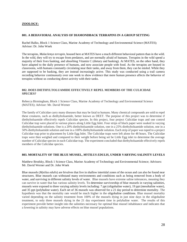# **ZOOLOGY:**

#### **801. A BEHAVIORAL ANALYSIS OF DIAMONDBACK TERRAPINS IN A GROUP SETTING**

Rachel Balko, Block 1 Science Class, Marine Academy of Technology and Environmental Science (MATES); Advisor: Dr. John Wnek

The terrapins, *Malaclemys terrapin*, housed here at MATES have a much different behavioral pattern than in the wild. In the wild, they will try to escape from predators, and are normally afraid of humans. Terrapins in the wild spend a majority of their lives basking, and absorbing Vitamin C (dietary and basking). At MATES, on the other hand, they have adapted to the daily presence of humans, and now associate people with food. As the terrapins are housed in classrooms, with humans constantly circulating near their tanks, and away from them, they can be misled. While they are supposed to be basking, they are instead increasingly active. This study was conducted using a trail camera recording behavior continuously over one week to show evidence that mere human presence affects the behavior of terrapins without us conducting direct activity with their tanks.

#### **802. DOES DIETHYLTOLUAMIDE EFFECTIVELY REPEL MEMBERS OF THE CULICIDAE SPECIES?**

Rebecca Birmingham, Block 1 Science Class, Marine Academy of Technology and Environmental Science (MATES); Advisor: Mr. David Werner

The family of Culicidae carry many diseases that may be fatal to humans. Many chemical compounds are sold to repel these creatures, such as diethyltoluamide, better known as DEET. The purpose of this project was to determine if diethyltoluamide effectively repels Culicidae species. In this project, four project Culicidae traps and one control Culicidae trap were placed in various places along Little Egg Inlet. Four strips of black paper were soaked in varying diethyltoluamide solutions. One is a 20% diethyltoluamide solution, one in a 25% diethyltoluamide solution, one in a 50% diethyltoluamide solution and one in a 100% diethyltoluamide solution. Each strip of paper was taped to a project Culicidae trap prior to placement by Little Egg Inlet. The Culicidae traps were left alone for 48 hours. The Culicidae traps were then weighed and compared to their weight before being set be Little Egg inlet to determine the average number of Culicidae species in each Culicidae trap. The experiment concluded that diethyltoluamide effectively repels members of the Culicidae species.

#### **803. MORTALITY OF THE BLUE MUSSEL,** *MYTILUS EDULIS***, UNDER VARYING SALINITY LEVELS**

Matthew Brodsky, Block 1 Science Class, Marine Academy of Technology and Environmental Science; Advisors: Mr. David Werner and Dr. John Wnek

Blue mussels (*Mytilus edulis*) are bivalves that live in shallow intertidal zones of the ocean and can also be found near structures. Blue mussels can withstand many environments and conditions such as being removed from a body of water, and surviving in different salinity levels of water. Blue mussels have extreme saline tolerances, meaning they can survive in water that has various salinity levels. To determine survivorship of blue mussels in varying salinities, mussels were exposed to three varying salinity levels including: 7 ppt (oligohaline water), 19 ppt (mesohaline water), and 35 ppt (polyhaline water). Each set of 36 mussels was observed for a 21 day period to determine mortality. The hypothesis was that the mortality rate would be much higher in the oligohaline conditions. Blue mussel mortality varied depending on the salinity treatment from 100% of the mussels dying in just nine days in the oligohaline treatment, to only three mussels dying in the 21 day experiment time in polyhaline water. The results of this experiment provide better insight into the salinities necessary for optimal blue mussel inhabitance and indicates that a lowering in salinity may have adverse effects on blue mussel populations.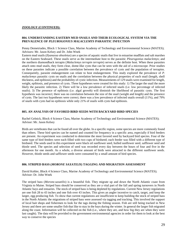#### **ZOOLOGY (CONTINUED):**

# **804. UNDERSTANDING EASTERN MUD SNAILS AND THEIR ECOLOGICAL SYSTEM VIA THE PREVALENCE OF** *PLEUROGONIUS MALACLEMYS* **PARASITIC INFECTION**

Penny Demetriades, Block 1 Science Class, Marine Academy of Technology and Environmental Science (MATES); Advisors: Mr. Jason Kelsey and Dr. John Wnek

Eastern mud snails (*Ilyanassa obsoletus*) are a species of aquatic snails that live in estuarine mudflats and salt marshes on the Eastern Seaboard. These snails serve as the intermediate host to the parasitic *Pleurogonius malaclemys*; and the northern diamondback terrapin (*Malaclemys terrapin terrapin*) serves as the definite host. When these parasites attach onto mud snails, they form clear, dome-like cysts that can be seen with the aid of a microscope. Prior studies on these parasites indicate a possible correlation between the prevalence of cysts and the population of terrapins. Consequently, parasite endangerment can relate to host endangerment. This study explored the prevalence of *P. malaclemys* parasitic cysts on snails and the correlation between the physical properties of each snail (length, shell thickness, and epibiosis) and the probability of cystic infection. Measurements of 129 snails were examined for length, weight, epibiosis, and presence of cysts. Three hypotheses were created for this study: 1) The larger the snail the more likely the parasitic infection. 2) There will be a low prevalence of infected snails (i.e. low percentage of infected snails). 3) The presence of epibiosis (i.e. algal growth) will diminish the likelihood of parasitic cysts. The first hypothesis was incorrect; there was no correlation between the size of the snail (weight and length) and the presence of cysts. The last two hypotheses were correct; there was a low prevalence of infected snails overall (11%), and 79% of snails with cysts had no epibiosis while only 21% of snails with cysts had epibiosis.

#### **805. AN ANALYSIS OF FAVORED BIRD SEEDS WITH BACKYARD BIRD SPECIES**

Rachel Gelnick, Block 4 Science Class, Marine Academy of Technology and Environmental Science (MATES); Advisor: Mr. Jason Kelsey

Birds are vertebrates that can be found all over the globe. In a specific region, some species are more commonly found than others. These bird species can be named and counted for frequency in a specific area, especially if bird feeders are present. An experiment was conducted to determine the most favored seed by backyard bird species. Four of the same type of bird feeders were each filled with two cups of birdseed; each feeder was filled with a different type of birdseed. The seeds used in this experiment were black oil sunflower seed, hulled sunflower seed, safflower seed and thistle seed. The species and selection of seed was recorded every day between the hours of four and five in the afternoon for one month. As a whole, a diverse amount of birds were attracted to the different sunflower seeds. However, thistle seeds and safflower seeds were consumed by a small amount of bird species.

#### **806. STRIPED BASS (***MORONE SAXATILIS***) TAGGING AND MIGRATION ASSESSMENT**

David Kohler, Block 4 Science Class, Marine Academy of Technology and Environmental Science (MATES); Advisor: Dr. John Wnek

The striped bass (*Morone.saxatilis*) is a beautiful fish. They migrate up and down the North Atlantic coast from Virginia to Maine. Striped bass should be conserved as they are a vital part of the fall and spring turnovers in North Atlantic bays and estuaries. The stock of striped bass is being depleted by regulations. Current New Jersey regulations are one fish 28 to 43 inches and one fish over 43 inches. This gives an angler incentive to catch, target, and keep the larger, egg producing fish. To show that current regulations are insufficient to keep building the stock of striped bass in the North Atlantic the migrations of striped bass were assessed via tagging and tracking. This involved the support of local bait shops and fishermen to look for the tags during the fishing season. Fish are still being tracked in New Jersey and there are some smaller fish that like to stay in the bays during the winter. In general the larger fish migrated along the coast. Information will be collected on the fish (i.e., where they are, and how big they are when they were last caught). The data will be provided to the government environmental agencies in order for them to look at the best way to conserve the species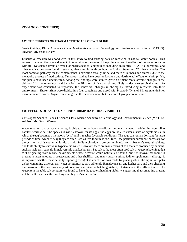#### **ZOOLOGY (CONTINUED):**

#### **807. THE EFFECTS OF PHARMACEUTICALS ON WILDLIFE**

Sarah Quigley, Block 4 Science Class, Marine Academy of Technology and Environmental Science (MATES). Advisor: Mr. Jason Kelsey

Exhaustive research was conducted in this study to find existing data on medicine in natural water bodies. This research included the type and extent of contamination, sources of the pollutants, and the effects of the xenobiotics on wildlife. Detectable levels of over 600 pharmaceutical compounds including antibiotics, NSAID's, hormones, and other medications were found in streams, rivers and lakes throughout the United States and 70 other countries. The most common pathway for the contaminants is excretion through urine and feces of humans and animals due to the metabolic process of medications. Numerous studies have been undertaken and detrimental effects on shrimp, fish, and plants have been documented. Among the findings were stunted growth of plant roots, adverse changes in the ability of fish to reproduce, and behavior modification of fish and shrimp likely to decrease survival rates. An experiment was conducted to reproduce the behavioral changes in shrimp by introducing medicine into their environment. Shore shrimp were divided into four containers and dosed with Prozac®, Tylenol 3®, Augmentin®, or uncontaminated water. Significant changes in the behavior of all but the control group were observed.

#### **808. EFFECTS OF SALTS ON BRINE SHRIMP HATCHING VIABILITY**

Christopher Sanchez, Block 1 Science Class, Marine Academy of Technology and Environmental Science (MATES), Advisor: Mr. David Werner

*Artemia salina*, a crustacean species, is able to survive harsh conditions and environments, thriving in hypersaline habitats worldwide. The species is widely known for its eggs; the eggs are able to enter a state of cryptobiosis, in which the egg becomes a metabolic "cyst" until it reaches favorable conditions. The eggs can remain dormant for large periods of time, which is why they are often used as live food in aquaculture. One particular substance necessary for the cyst to hatch is sodium chloride, or salt. Sodium chloride is present in abundance in *Artemia*'s natural habitats, due to its ability to survive in hypersaline water. However, there are many forms of salt that are produced by humans, such as table salt, sea salt, himalayan salt, and kosher salt. Sea salt is the most often used salt in *Artemia* hatching, due to it originating from marine environments where *Artemia* would naturally be found, but it is known that iodine is present in large amounts in crustaceans and other shellfish, and many aquaria utilize iodine supplements (although it is unproven whether these actually support growth). The conclusion was made by placing 20-30 shrimp in four petri dishes containing different salt-water solutions, sea salt, table salt, Himalayan salt, and kosher salt, and then checking the progress of the hatching every 24 hours to determine the hatching viability of *Artemia* in the different salts. The *Artemia* in the table salt solution was found to have the greatest hatching viability, suggesting that something present in table salt may raise the hatching viability of *Artemia salina*.